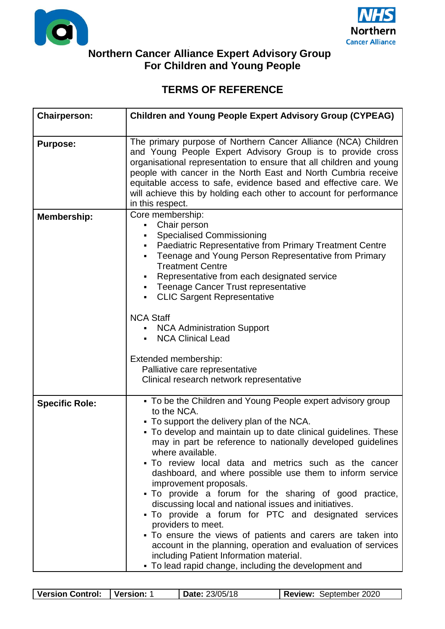



## **U Northern Cancer Alliance Expert Advisory Group For Children and Young People**

## **TERMS OF REFERENCE**

| <b>Chairperson:</b>   | <b>Children and Young People Expert Advisory Group (CYPEAG)</b>                                                                                                                                                                                                                                                                                                                                                                                                                                                                                                                                                                                                                                                                                                                                                                                                    |
|-----------------------|--------------------------------------------------------------------------------------------------------------------------------------------------------------------------------------------------------------------------------------------------------------------------------------------------------------------------------------------------------------------------------------------------------------------------------------------------------------------------------------------------------------------------------------------------------------------------------------------------------------------------------------------------------------------------------------------------------------------------------------------------------------------------------------------------------------------------------------------------------------------|
| <b>Purpose:</b>       | The primary purpose of Northern Cancer Alliance (NCA) Children<br>and Young People Expert Advisory Group is to provide cross<br>organisational representation to ensure that all children and young<br>people with cancer in the North East and North Cumbria receive<br>equitable access to safe, evidence based and effective care. We<br>will achieve this by holding each other to account for performance<br>in this respect.                                                                                                                                                                                                                                                                                                                                                                                                                                 |
| <b>Membership:</b>    | Core membership:<br>Chair person<br>$\blacksquare$<br><b>Specialised Commissioning</b><br>Paediatric Representative from Primary Treatment Centre<br>Teenage and Young Person Representative from Primary<br><b>Treatment Centre</b><br>Representative from each designated service<br>• Teenage Cancer Trust representative<br><b>CLIC Sargent Representative</b><br><b>NCA Staff</b><br><b>NCA Administration Support</b><br><b>NCA Clinical Lead</b><br>Extended membership:<br>Palliative care representative<br>Clinical research network representative                                                                                                                                                                                                                                                                                                      |
| <b>Specific Role:</b> | • To be the Children and Young People expert advisory group<br>to the NCA.<br>• To support the delivery plan of the NCA.<br>• To develop and maintain up to date clinical guidelines. These<br>may in part be reference to nationally developed guidelines<br>where available.<br>• To review local data and metrics such as the cancer<br>dashboard, and where possible use them to inform service<br>improvement proposals.<br>• To provide a forum for the sharing of good practice,<br>discussing local and national issues and initiatives.<br>• To provide a forum for PTC and designated services<br>providers to meet.<br>• To ensure the views of patients and carers are taken into<br>account in the planning, operation and evaluation of services<br>including Patient Information material.<br>• To lead rapid change, including the development and |

| Version Control: | Version: | <b>Date: 23/05/18</b> | <b>Review: September 2020</b> |
|------------------|----------|-----------------------|-------------------------------|